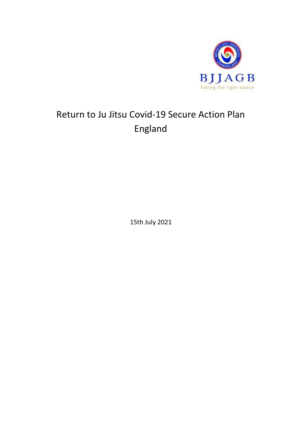

# Return to Ju Jitsu Covid-19 Secure Action Plan England

15th July 2021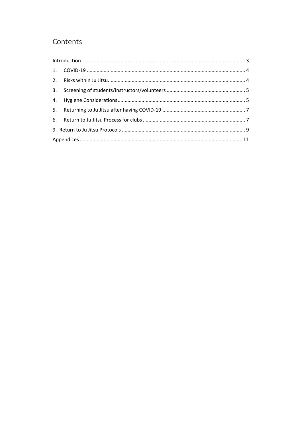### Contents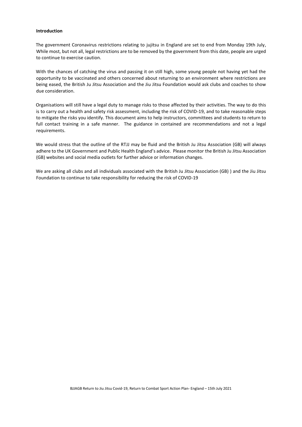#### <span id="page-2-0"></span>**Introduction**

The government Coronavirus restrictions relating to jujitsu in England are set to end from Monday 19th July, While most, but not all, legal restrictions are to be removed by the government from this date, people are urged to continue to exercise caution.

With the chances of catching the virus and passing it on still high, some young people not having yet had the opportunity to be vaccinated and others concerned about returning to an environment where restrictions are being eased, the British Ju Jitsu Association and the Jiu Jitsu Foundation would ask clubs and coaches to show due consideration.

Organisations will still have a legal duty to manage risks to those affected by their activities. The way to do this is to carry out a health and safety risk assessment, including the risk of COVID-19, and to take reasonable steps to mitigate the risks you identify. This document aims to help instructors, committees and students to return to full contact training in a safe manner. The guidance in contained are recommendations and not a legal requirements.

We would stress that the outline of the RTJJ may be fluid and the British Ju Jitsu Association (GB) will always adhere to the UK Government and Public Health England's advice. Please monitor the British Ju Jitsu Association (GB) websites and social media outlets for further advice or information changes.

We are asking all clubs and all individuals associated with the British Ju Jitsu Association (GB) ) and the Jiu Jitsu Foundation to continue to take responsibility for reducing the risk of COVID-19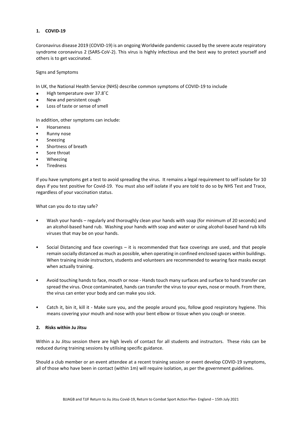#### <span id="page-3-0"></span>**1. COVID-19**

Coronavirus disease 2019 (COVID-19) is an ongoing Worldwide pandemic caused by the severe acute respiratory syndrome coronavirus 2 (SARS-CoV-2). This virus is highly infectious and the best way to protect yourself and others is to get vaccinated.

#### Signs and Symptoms

In UK, the National Health Service (NHS) describe common symptoms of COVID-19 to include

- High temperature over 37.8˚C  $\blacksquare$
- New and persistent cough
- $\blacksquare$ Loss of taste or sense of smell

In addition, other symptoms can include:

- Hoarseness
- Runny nose
- Sneezing
- Shortness of breath
- Sore throat
- Wheezing
- **Tiredness**

If you have symptoms get a test to avoid spreading the virus. It remains a legal requirement to self isolate for 10 days if you test positive for Covid-19. You must also self isolate if you are told to do so by NHS Test and Trace, regardless of your vaccination status.

What can you do to stay safe?

- Wash your hands regularly and thoroughly clean your hands with soap (for minimum of 20 seconds) and an alcohol-based hand rub. Washing your hands with soap and water or using alcohol-based hand rub kills viruses that may be on your hands.
- Social Distancing and face coverings it is recommended that face coverings are used, and that people remain socially distanced as much as possible, when operating in confined enclosed spaces within buildings. When training inside instructors, students and volunteers are recommended to wearing face masks except when actually training.
- Avoid touching hands to face, mouth or nose Hands touch many surfaces and surface to hand transfer can spread the virus. Once contaminated, hands can transfer the virus to your eyes, nose or mouth. From there, the virus can enter your body and can make you sick.
- Catch it, bin it, kill it Make sure you, and the people around you, follow good respiratory hygiene. This means covering your mouth and nose with your bent elbow or tissue when you cough or sneeze.

#### <span id="page-3-1"></span>**2. Risks within Ju Jitsu**

Within a Ju Jitsu session there are high levels of contact for all students and instructors. These risks can be reduced during training sessions by utilising specific guidance.

Should a club member or an event attendee at a recent training session or event develop COVID-19 symptoms, all of those who have been in contact (within 1m) will require isolation, as per the government guidelines.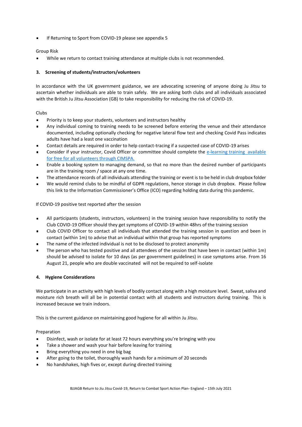If Returning to Sport from COVID-19 please see appendix 5

#### Group Risk

While we return to contact training attendance at multiple clubs is not recommended.

#### <span id="page-4-0"></span>**3. Screening of students/instructors/volunteers**

In accordance with the UK government guidance, we are advocating screening of anyone doing Ju Jitsu to ascertain whether individuals are able to train safely. We are asking both clubs and all individuals associated with the British Ju Jitsu Association (GB) to take responsibility for reducing the risk of COVID-19.

#### Clubs

- $\blacksquare$ Priority is to keep your students, volunteers and instructors healthy
- Any individual coming to training needs to be screened before entering the venue and their attendance documented, including optionally checking for negative lateral flow test and checking Covid Pass indicates adults have had a least one vaccination
- Contact details are required in order to help contact-tracing if a suspected case of COVID-19 arises  $\blacksquare$
- Consider if your instructor, Covid Officer or committee should complete the e-learning training available [for free for all volunteers through CIMSPA.](https://cimspa-reactivate.uk/access-reactivate)
- Enable a booking system to managing demand, so that no more than the desired number of participants  $\blacksquare$ are in the training room / space at any one time.
- The attendance records of all individuals attending the training or event is to be held in club dropbox folder
- We would remind clubs to be mindful of GDPR regulations, hence storage in club dropbox. Please follow this link to the Information Commissioner's Office (ICO) regarding holding data during this pandemic.

If COVID-19 positive test reported after the session

- All participants (students, instructors, volunteers) in the training session have responsibility to notify the  $\blacksquare$ Club COVID-19 Officer should they get symptoms of COVID-19 within 48hrs of the training session
- Club COVID Officer to contact all individuals that attended the training session in question and been in  $\blacksquare$ contact (within 1m) to advise that an individual within that group has reported symptoms
- The name of the infected individual is not to be disclosed to protect anonymity  $\blacksquare$
- The person who has tested positive and all attendees of the session that have been in contact (within 1m) should be advised to isolate for 10 days (as per government guidelines) in case symptoms arise. From 16 August 21, people who are double vaccinated will not be required to self-isolate

#### <span id="page-4-1"></span>**4. Hygiene Considerations**

We participate in an activity with high levels of bodily contact along with a high moisture level. Sweat, saliva and moisture rich breath will all be in potential contact with all students and instructors during training. This is increased because we train indoors.

This is the current guidance on maintaining good hygiene for all within Ju Jitsu.

Preparation

- Disinfect, wash or isolate for at least 72 hours everything you're bringing with you  $\blacksquare$
- $\blacksquare$ Take a shower and wash your hair before leaving for training
- Bring everything you need in one big bag  $\blacksquare$
- After going to the toilet, thoroughly wash hands for a minimum of 20 seconds
- No handshakes, high fives or, except during directed training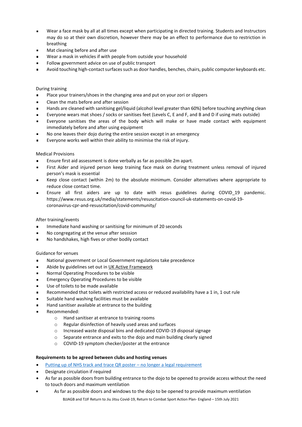- Wear a face mask by all at all times except when participating in directed training. Students and Instructors  $\blacksquare$ may do so at their own discretion, however there may be an effect to performance due to restriction in breathing
- Mat cleaning before and after use  $\blacksquare$
- Wear a mask in vehicles if with people from outside your household
- Follow government advice on use of public transport
- Avoid touching high-contact surfaces such as door handles, benches, chairs, public computer keyboards etc.

#### During training

- Place your trainers/shoes in the changing area and put on your zori or slippers  $\blacksquare$
- $\blacksquare$ Clean the mats before and after session
- Hands are cleaned with sanitising gel/liquid (alcohol level greater than 60%) before touching anything clean
- Everyone wears mat shoes / socks or sanitises feet (Levels C, E and F, and B and D if using mats outside)  $\blacksquare$
- Everyone sanitises the areas of the body which will make or have made contact with equipment  $\blacksquare$ immediately before and after using equipment
- No one leaves their dojo during the entire session except in an emergency
- Everyone works well within their ability to minimise the risk of injury.  $\blacksquare$

#### Medical Provisions

- $\blacksquare$ Ensure first aid assessment is done verbally as far as possible 2m apart.
- First Aider and injured person keep training face mask on during treatment unless removal of injured  $\blacksquare$ person's mask is essential
- Keep close contact (within 2m) to the absolute minimum. Consider alternatives where appropriate to  $\blacksquare$ reduce close contact time.
- Ensure all first aiders are up to date with resus guidelines during COVID\_19 pandemic.  $\blacksquare$ https://www.resus.org.uk/media/statements/resuscitation-council-uk-statements-on-covid-19 coronavirus-cpr-and-resuscitation/covid-community/

#### After training/events

- Immediate hand washing or sanitising for minimum of 20 seconds  $\blacksquare$
- No congregating at the venue after sesssion
- No handshakes, high fives or other bodily contact

#### Guidance for venues

- National government or Local Government regulations take precedence  $\blacksquare$
- Abide by guidelines set out in [UK Active Framework](https://www.ukactive.com/wp-content/uploads/2020/07/Covid-19-NI-A-framework-for-the-re-opening-of-the-gym-and-fitness-industry-RS-V111.pdf)  $\blacksquare$
- Normal Operating Procedures to be visible
- Emergency Operating Procedures to be visible  $\blacksquare$
- Use of toilets to be made available
- Recommended that toilets with restricted access or reduced availability have a 1 in, 1 out rule  $\blacksquare$
- Suitable hand washing facilities must be available
- Hand sanitiser available at entrance to the building
- Recommended:
	- o Hand sanitiser at entrance to training rooms
	- o Regular disinfection of heavily used areas and surfaces
	- o Increased waste disposal bins and dedicated COVID-19 disposal signage
	- o Separate entrance and exits to the dojo and main building clearly signed
	- o COVID-19 symptom checker/poster at the entrance

#### **Requirements to be agreed between clubs and hosting venues**

- [Putting up of NHS track and trace QR poster](https://www.gov.uk/government/news/venues-required-to-enforce-rule-of-6-nhs-qr-code-posters-and-contact-logs)  no longer a legal requirement
- Designate circulation if required
- As far as possible doors from building entrance to the dojo to be opened to provide access without the need to touch doors and maximum ventilation
- As far as possible doors and windows to the dojo to be opened to provide maximum ventilation

BJJAGB and TJJF Return to Jiu Jitsu Covid-19, Return to Combat Sport Action Plan- England – 15th July 2021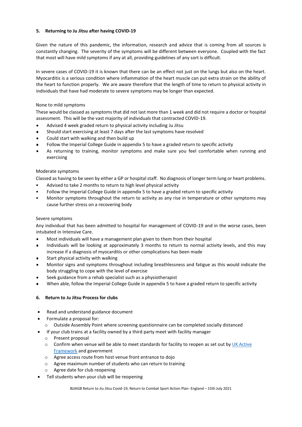#### <span id="page-6-0"></span>**5. Returning to Ju Jitsu after having COVID-19**

Given the nature of this pandemic, the information, research and advice that is coming from all sources is constantly changing. The severity of the symptoms will be different between everyone. Coupled with the fact that most will have mild symptoms if any at all, providing guidelines of any sort is difficult.

In severe cases of COVID-19 it is known that there can be an effect not just on the lungs but also on the heart. Myocarditis is a serious condition where inflammation of the heart muscle can put extra strain on the ability of the heart to function properly. We are aware therefore that the length of time to return to physical activity in individuals that have had moderate to severe symptoms may be longer than expected.

#### None to mild symptoms

These would be classed as symptoms that did not last more than 1 week and did not require a doctor or hospital assessment. This will be the vast majority of individuals that contracted COVID-19.

- Advised 4 week graded return to physical activity including Ju Jitsu  $\blacksquare$
- Should start exercising at least 7 days after the last symptoms have resolved  $\blacksquare$
- Could start with walking and then build up
- Follow the Imperial College Guide in appendix 5 to have a graded return to specific activity
- As returning to training, monitor symptoms and make sure you feel comfortable when running and  $\blacksquare$ exercising

#### Moderate symptoms

Classed as having to be seen by either a GP or hospital staff. No diagnosis of longer term lung or heart problems.

- Advised to take 2 months to return to high level physical activity
- Follow the Imperial College Guide in appendix 5 to have a graded return to specific activity
- Monitor symptoms throughout the return to activity as any rise in temperature or other symptoms may cause further stress on a recovering body

#### Severe symptoms

Any individual that has been admitted to hospital for management of COVID-19 and in the worse cases, been intubated in Intensive Care.

- Most individuals will have a management plan given to them from their hospital
- $\blacksquare$ Individuals will be looking at approximately 3 months to return to normal activity levels, and this may increase if a diagnosis of myocarditis or other complications has been made
- Start physical activity with walking  $\blacksquare$
- Monitor signs and symptoms throughout including breathlessness and fatigue as this would indicate the body struggling to cope with the level of exercise
- Seek guidance from a rehab specialist such as a physiotherapist
- When able, follow the Imperial College Guide in appendix 5 to have a graded return to specific activity

#### <span id="page-6-1"></span>**6. Return to Ju Jitsu Process for clubs**

- Read and understand guidance document
- Formulate a proposal for:
	- o Outside Assembly Point where screening questionnaire can be completed socially distanced
- If your club trains at a facility owned by a third party meet with facility manager
	- o Present proposal
	- $\circ$  Confirm when venue will be able to meet standards for facility to reopen as set out by UK Active [Framework](https://www.ukactive.com/wp-content/uploads/2020/09/FAQ-update-V4-25th-sept.pdf) and government
	- o Agree access route from host venue front entrance to dojo
	- o Agree maximum number of students who can return to training
	- o Agree date for club reopening
- Tell students when your club will be reopening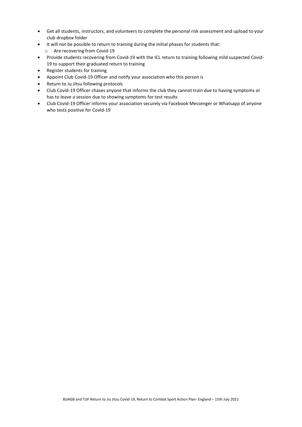- Get all students, instructors, and volunteers to complete the personal risk assessment and upload to your club dropbox folder
- It will not be possible to return to training during the initial phases for students that: o Are recovering from Covid-19
- Provide students recovering from Covid-19 with the ICL return to training following mild suspected Covid-19 to support their graduated return to training
- Register students for training
- Appoint Club Covid-19 Officer and notify your association who this person is
- Return to Ju Jitsu following protocols
- Club Covid-19 Officer chases anyone that informs the club they cannot train due to having symptoms or has to leave a session due to showing symptoms for test results
- Club Covid-19 Officer informs your association securely via Facebook Messenger or Whatsapp of anyone who tests positive for Covid-19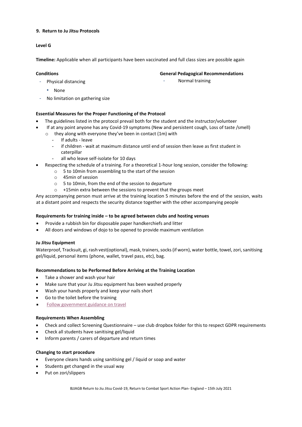#### <span id="page-8-0"></span>**9. Return to Ju Jitsu Protocols**

#### **Level G**

**Timeline:** Applicable when all participants have been vaccinated and full class sizes are possible again

#### **Conditions**

**General Pedagogical Recommendations** 

Normal training

- Physical distancing
	- None
- No limitation on gathering size

#### **Essential Measures for the Proper Functioning of the Protocol**

- The guidelines listed in the protocol prevail both for the student and the instructor/volunteer
- If at any point anyone has any Covid-19 symptoms (New and persistent cough, Loss of taste /smell)
	- o they along with everyone they've been in contact (1m) with
		- If adults leave
		- if children wait at maximum distance until end of session then leave as first student in caterpillar
		- all who leave self-isolate for 10 days
- Respecting the schedule of a training. For a theoretical 1-hour long session, consider the following:
	- o 5 to 10min from assembling to the start of the session
	- o 45min of session
	- o 5 to 10min, from the end of the session to departure
	- o +15min extra between the sessions to prevent that the groups meet

Any accompanying person must arrive at the training location 5 minutes before the end of the session, waits at a distant point and respects the security distance together with the other accompanying people

#### **Requirements for training inside – to be agreed between clubs and hosting venues**

- Provide a rubbish bin for disposable paper handkerchiefs and litter
- All doors and windows of dojo to be opened to provide maximum ventilation

#### **Ju Jitsu Equipment**

Waterproof, Tracksuit, gi, rash vest(optional), mask, trainers, socks (if worn), water bottle, towel, zori, sanitising gel/liquid, personal items (phone, wallet, travel pass, etc), bag.

#### **Recommendations to be Performed Before Arriving at the Training Location**

- Take a shower and wash your hair
- Make sure that your Ju Jitsu equipment has been washed properly
- Wash your hands properly and keep your nails short
- Go to the toilet before the training
- [Follow government guidance on travel](https://www.gov.uk/guidance/coronavirus-covid-19-grassroots-sports-guidance-for-safe-provision-including-team-sport-contact-combat-sport-and-organised-sport-events#key-principle-2---prior-to-activity)

#### **Requirements When Assembling**

- Check and collect Screening Questionnaire use club dropbox folder for this to respect GDPR requirements
- Check all students have sanitising gel/liquid
- Inform parents / carers of departure and return times

#### **Changing to start procedure**

- Everyone cleans hands using sanitising gel / liquid or soap and water
- Students get changed in the usual way
- Put on zori/slippers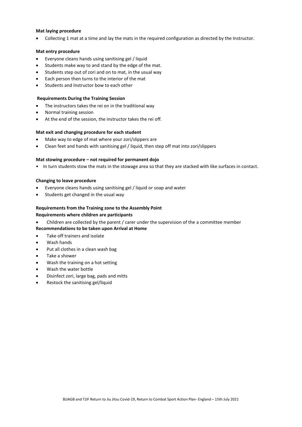#### **Mat laying procedure**

• Collecting 1 mat at a time and lay the mats in the required configuration as directed by the Instructor.

#### **Mat entry procedure**

- Everyone cleans hands using sanitising gel / liquid
- Students make way to and stand by the edge of the mat.
- Students step out of zori and on to mat, in the usual way
- Each person then turns to the interior of the mat
- Students and Instructor bow to each other

#### **Requirements During the Training Session**

- The instructors takes the rei on in the traditional way
- Normal training session
- At the end of the session, the instructor takes the rei off.

#### **Mat exit and changing procedure for each student**

- Make way to edge of mat where your zori/slippers are
- Clean feet and hands with sanitising gel / liquid, then step off mat into zori/slippers

#### **Mat stowing procedure – not required for permanent dojo**

• In turn students stow the mats in the stowage area so that they are stacked with like surfaces in contact.

#### **Changing to leave procedure**

- Everyone cleans hands using sanitising gel / liquid or soap and water
- Students get changed in the usual way

#### **Requirements from the Training zone to the Assembly Point**

#### **Requirements where children are participants**

- Children are collected by the parent / carer under the supervision of the a committee member
- **Recommendations to be taken upon Arrival at Home**
- Take off trainers and isolate
- Wash hands
- Put all clothes in a clean wash bag
- Take a shower
- Wash the training on a hot setting
- Wash the water bottle
- Disinfect zori, large bag, pads and mitts
- Restock the sanitising gel/liquid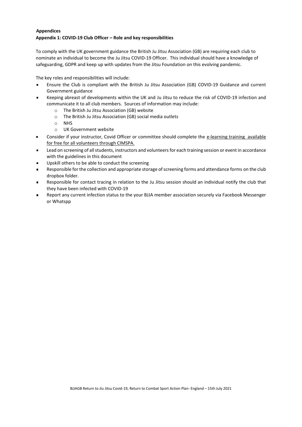#### <span id="page-10-0"></span>**Appendices Appendix 1: COVID-19 Club Officer – Role and key responsibilities**

To comply with the UK government guidance the British Ju Jitsu Association (GB) are requiring each club to nominate an individual to become the Ju Jitsu COVID-19 Officer. This individual should have a knowledge of safeguarding, GDPR and keep up with updates from the Jitsu Foundation on this evolving pandemic.

The key roles and responsibilities will include:

- Ensure the Club is compliant with the British Ju Jitsu Association (GB) COVID-19 Guidance and current Government guidance
- Keeping abreast of developments within the UK and Ju Jitsu to reduce the risk of COVID-19 infection and communicate it to all club members. Sources of information may include:
	- o The British Ju Jitsu Association (GB) website
	- o The British Ju Jitsu Association (GB) social media outlets
	- o NHS
	- o UK Government website
- Consider if your instructor, Covid Officer or committee should complete the [e-learning training available](https://cimspa-reactivate.uk/access-reactivate)  [for free for all volunteers through CIMSPA.](https://cimspa-reactivate.uk/access-reactivate)
- Lead on screening of all students, instructors and volunteersfor each training session or event in accordance  $\blacksquare$ with the guidelines in this document
- Upskill others to be able to conduct the screening  $\blacksquare$
- Responsible for the collection and appropriate storage of screening forms and attendance forms on the club dropbox folder.
- Responsible for contact tracing in relation to the Ju Jitsu session should an individual notify the club that  $\blacksquare$ they have been infected with COVID-19
- Report any current infection status to the your BJJA member association securely via Facebook Messenger  $\blacksquare$ or Whatspp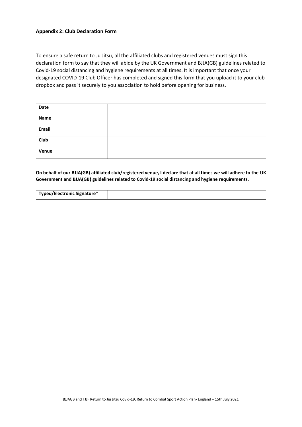#### **Appendix 2: Club Declaration Form**

To ensure a safe return to Ju Jitsu, all the affiliated clubs and registered venues must sign this declaration form to say that they will abide by the UK Government and BJJA(GB) guidelines related to Covid-19 social distancing and hygiene requirements at all times. It is important that once your designated COVID-19 Club Officer has completed and signed this form that you upload it to your club dropbox and pass it securely to you association to hold before opening for business.

| Date  |  |
|-------|--|
| Name  |  |
| Email |  |
| Club  |  |
| Venue |  |

**On behalf of our BJJA(GB) affiliated club/registered venue, I declare that at all times we will adhere to the UK Government and BJJA(GB) guidelines related to Covid-19 social distancing and hygiene requirements.**

| Typed/Electronic Signature* |  |
|-----------------------------|--|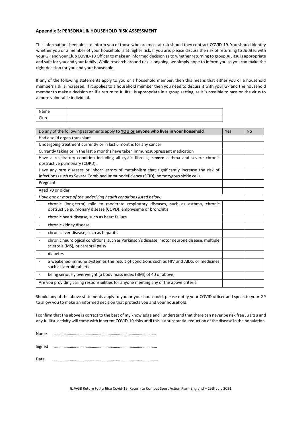#### **Appendix 3: PERSONAL & HOUSEHOLD RISK ASSESSMENT**

This information sheet aims to inform you of those who are most at risk should they contract COVID-19. You should identify whether you or a member of your household is at higher risk. If you are, please discuss the risk of returning to Ju Jitsu with your GP and your Club COVID-19 Officer to make an informed decision as to whether returning to group Ju Jitsu is appropriate and safe for you and your family. While research around risk is ongoing, we simply hope to inform you so you can make the right decision for you and your household.

If any of the following statements apply to you or a household member, then this means that either you or a household members risk is increased. If it applies to a household member then you need to discuss it with your GP and the household member to make a decision on if a return to Ju Jitsu is appropriate in a group setting, as it is possible to pass on the virus to a more vulnerable individual.

| Name |  |
|------|--|
| Club |  |

|                                                                                                                                                     | Do any of the following statements apply to YOU or anyone who lives in your household                                                                                                  | Yes | <b>No</b> |  |  |
|-----------------------------------------------------------------------------------------------------------------------------------------------------|----------------------------------------------------------------------------------------------------------------------------------------------------------------------------------------|-----|-----------|--|--|
| Had a solid organ transplant                                                                                                                        |                                                                                                                                                                                        |     |           |  |  |
| Undergoing treatment currently or in last 6 months for any cancer                                                                                   |                                                                                                                                                                                        |     |           |  |  |
|                                                                                                                                                     | Currently taking or in the last 6 months have taken immunosuppressant medication                                                                                                       |     |           |  |  |
|                                                                                                                                                     | Have a respiratory condition including all cystic fibrosis, severe asthma and severe chronic<br>obstructive pulmonary (COPD).                                                          |     |           |  |  |
|                                                                                                                                                     | Have any rare diseases or inborn errors of metabolism that significantly increase the risk of<br>infections (such as Severe Combined Immunodeficiency (SCID), homozygous sickle cell). |     |           |  |  |
|                                                                                                                                                     | Pregnant                                                                                                                                                                               |     |           |  |  |
|                                                                                                                                                     | Aged 70 or older                                                                                                                                                                       |     |           |  |  |
|                                                                                                                                                     | Have one or more of the underlying health conditions listed below:                                                                                                                     |     |           |  |  |
| chronic (long-term) mild to moderate respiratory diseases, such as asthma, chronic<br>obstructive pulmonary disease (COPD), emphysema or bronchitis |                                                                                                                                                                                        |     |           |  |  |
| $\overline{\phantom{a}}$                                                                                                                            | chronic heart disease, such as heart failure                                                                                                                                           |     |           |  |  |
| $\overline{\phantom{a}}$                                                                                                                            | chronic kidney disease                                                                                                                                                                 |     |           |  |  |
| $\overline{\phantom{a}}$                                                                                                                            | chronic liver disease, such as hepatitis                                                                                                                                               |     |           |  |  |
| ÷,                                                                                                                                                  | chronic neurological conditions, such as Parkinson's disease, motor neurone disease, multiple<br>sclerosis (MS), or cerebral palsy                                                     |     |           |  |  |
| ٠                                                                                                                                                   | diabetes                                                                                                                                                                               |     |           |  |  |
|                                                                                                                                                     | a weakened immune system as the result of conditions such as HIV and AIDS, or medicines<br>such as steroid tablets                                                                     |     |           |  |  |
|                                                                                                                                                     | being seriously overweight (a body mass index (BMI) of 40 or above)                                                                                                                    |     |           |  |  |
|                                                                                                                                                     | Are you providing caring responsibilities for anyone meeting any of the above criteria                                                                                                 |     |           |  |  |

Should any of the above statements apply to you or your household, please notify your COVID officer and speak to your GP to allow you to make an informed decision that protects you and your household.

I confirm that the above is correct to the best of my knowledge and I understand that there can never be risk free Ju Jitsu and any Ju Jitsu activity will come with inherent COVID-19 risks until this is a substantial reduction of the disease in the population.

Name …………………………………………………………………………………….

Signed ……………………………………………………………………………………..

Date ………………………………………………………………………………………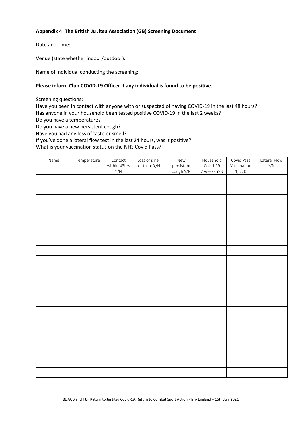### **Appendix 4**: **The British Ju Jitsu Association (GB) Screening Document**

Date and Time:

Venue (state whether indoor/outdoor):

Name of individual conducting the screening:

#### **Please inform Club COVID-19 Officer if any individual is found to be positive.**

Screening questions:

Have you been in contact with anyone with or suspected of having COVID-19 in the last 48 hours? Has anyone in your household been tested positive COVID-19 in the last 2 weeks? Do you have a temperature? Do you have a new persistent cough?

Have you had any loss of taste or smell?

If you've done a lateral flow test in the last 24 hours, was it positive?

What is your vaccination status on the NHS Covid Pass?

| Name | Temperature | Contact             | Loss of smell | New                     | Household               | Covid Pass             | Lateral Flow |
|------|-------------|---------------------|---------------|-------------------------|-------------------------|------------------------|--------------|
|      |             | within 48hrs<br>Y/N | or taste Y/N  | persistent<br>cough Y/N | Covid-19<br>2 weeks Y/N | Vaccination<br>1, 2, 0 | Y/N          |
|      |             |                     |               |                         |                         |                        |              |
|      |             |                     |               |                         |                         |                        |              |
|      |             |                     |               |                         |                         |                        |              |
|      |             |                     |               |                         |                         |                        |              |
|      |             |                     |               |                         |                         |                        |              |
|      |             |                     |               |                         |                         |                        |              |
|      |             |                     |               |                         |                         |                        |              |
|      |             |                     |               |                         |                         |                        |              |
|      |             |                     |               |                         |                         |                        |              |
|      |             |                     |               |                         |                         |                        |              |
|      |             |                     |               |                         |                         |                        |              |
|      |             |                     |               |                         |                         |                        |              |
|      |             |                     |               |                         |                         |                        |              |
|      |             |                     |               |                         |                         |                        |              |
|      |             |                     |               |                         |                         |                        |              |
|      |             |                     |               |                         |                         |                        |              |
|      |             |                     |               |                         |                         |                        |              |
|      |             |                     |               |                         |                         |                        |              |
|      |             |                     |               |                         |                         |                        |              |
|      |             |                     |               |                         |                         |                        |              |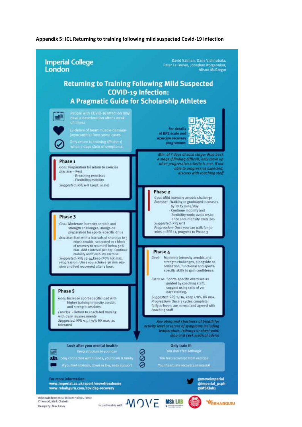#### **Appendix 5: ICL Returning to training following mild suspected Covid-19 infection**

#### David Salman, Dane Vishnubala, **Imperial College** Peter Le Feuvre, Jonathan Korgaonkar, London **Alison McGregor Returning to Training Following Mild Suspected COVID-19 Infection:** A Pragmatic Guide for Scholarship Athletes People with COVID-19 Infection may mille have a deterioration after a week<br>of illness For details Evidence of heart muscle damageof RPE scale and exercise recovery Only return to training (Phase 1)<br>when 7 days clear of symptoms programme: Min. of 7 days at each stage; drop back a stage if finding difficult, only move up Phase<sub>1</sub> when progression criteria is met. If not Goal: Preparation for return to exercise able to progress as expected, Exercise: - Rest discuss with coaching staff - Breathing exercises - Flexibility/mobility Suggested: RPE 6-8 (20pt. scale) Phase 2 Goal: Mild intensity aerobic challenge Exercise: - Walking in graduated increases by 10-15 mins/day - Continue mobility and flexibility work; avoid resist-Phase 3 ance and intensity exercises Suggested: RPE 6-11 Goal: Moderate intensity aerobic and strength challenges, alongside Progression: Once you can walk for 30 mins at RPE 11, progress to Phase 3 preparation for sports-specific drills Exercise: Start with 2 intervals of short (up to 5 mins) aerobic, separated by 1 block of recovery to return HR below 50% max. Add 1 interval per day. Continue Phase 4 mobility and flexibility exercise. Goal: Moderate intensity aerobic and Suggested: RPE 12-14, keep (70% HR max. strength challenges, alongside co-Progression: Once you achieve 30 min sesordination, functional and sportssion and feel recovered after 1 hour. specific skills to gain confidence. Exercise: Sports-specific exercises as guided by coaching staff; suggest using ratio of 2:1 Phase 5 days training. Suggested: RPE 12-14, keep <70% HR max. Goal: Increase sport-specific load with Progression: Once 3 cycles complete, higher training intensity aerobic fatigue levels are normal and agreed with and strength sessions coaching staff Exercise: - Return to coach-led training with daily reassessments Suggested: RPE >15, >70% HR max. as Any abnormal shortness of breath for tolerated activity level or return of symptoms including temperature, lethargy or chest pain. stop and seek medical advice Look after your mental health: Only train if: 圖 C **1. C.** Stay connected with friends, your team & family Ø If you feel anxious, down or low, seek support For more information @moveimperial www.imperial.ac.uk/sport/movefromhome @imperial\_pcph BJJAGB Return to Jitsu Covid-19-recovery Covid-19, Return to Combat Sport Action Plan- Action Plan- England – 15th July 2021 Acknowledgements: William Hollyer, Jamie<br>Kirkwood, Mark Chatwin In partnership with  $\mathcal{N} \cap VE$  MSk LAB *MREHABGURU* Design by: Max Lacey.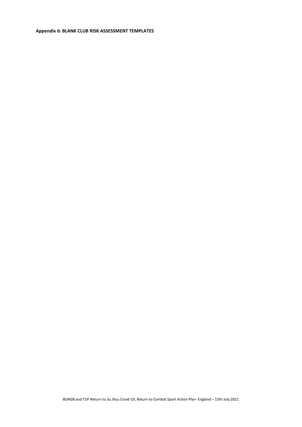#### **Appendix 6: BLANK CLUB RISK ASSESSMENT TEMPLATES**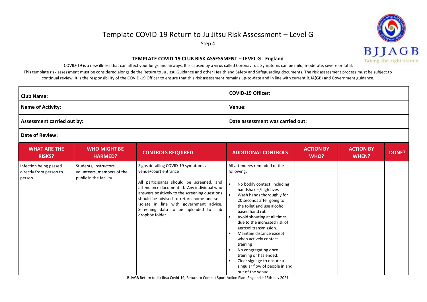## Template COVID-19 Return to Ju Jitsu Risk Assessment – Level G

Step 4



#### **TEMPLATE COVID-19 CLUB RISK ASSESSMENT – LEVEL G - England**

COVID-19 is a new illness that can affect your lungs and airways. It is caused by a virus called Coronavirus. Symptoms can be mild, moderate, severe or fatal.

This template risk assessment must be considered alongside the Return to Ju Jitsu Guidance and other Health and Safety and Safeguarding documents. The risk assessment process must be subject to continual review. It is the responsibility of the COVID-19 Officer to ensure that this risk assessment remains up-to-date and in line with current BJJA(GB) and Government guidance.

| <b>Club Name:</b>                                           |                                                                                |                                                                                                                                                                                                                                                                                                                                                            | <b>COVID-19 Officer:</b>                                                                                                                                                                                                                                                                                                                                                                                                                                                                                                                                                                    |                          |                                  |       |
|-------------------------------------------------------------|--------------------------------------------------------------------------------|------------------------------------------------------------------------------------------------------------------------------------------------------------------------------------------------------------------------------------------------------------------------------------------------------------------------------------------------------------|---------------------------------------------------------------------------------------------------------------------------------------------------------------------------------------------------------------------------------------------------------------------------------------------------------------------------------------------------------------------------------------------------------------------------------------------------------------------------------------------------------------------------------------------------------------------------------------------|--------------------------|----------------------------------|-------|
| <b>Name of Activity:</b>                                    |                                                                                |                                                                                                                                                                                                                                                                                                                                                            | Venue:                                                                                                                                                                                                                                                                                                                                                                                                                                                                                                                                                                                      |                          |                                  |       |
| Assessment carried out by:                                  |                                                                                |                                                                                                                                                                                                                                                                                                                                                            | Date assessment was carried out:                                                                                                                                                                                                                                                                                                                                                                                                                                                                                                                                                            |                          |                                  |       |
| <b>Date of Review:</b>                                      |                                                                                |                                                                                                                                                                                                                                                                                                                                                            |                                                                                                                                                                                                                                                                                                                                                                                                                                                                                                                                                                                             |                          |                                  |       |
| <b>WHAT ARE THE</b><br><b>RISKS?</b>                        | <b>WHO MIGHT BE</b><br><b>HARMED?</b>                                          | <b>CONTROLS REQUIRED</b>                                                                                                                                                                                                                                                                                                                                   | <b>ADDITIONAL CONTROLS</b>                                                                                                                                                                                                                                                                                                                                                                                                                                                                                                                                                                  | <b>ACTION BY</b><br>WHO? | <b>ACTION BY</b><br><b>WHEN?</b> | DONE? |
| Infection being passed<br>directly from person to<br>person | Students, Instructors,<br>volunteers, members of the<br>public in the facility | Signs detailing COVID-19 symptoms at<br>venue/court entrance<br>All participants should be screened, and<br>attendance documented. Any individual who<br>answers positively to the screening questions<br>should be advised to return home and self-<br>isolate in line with government advice.<br>Screening data to be uploaded to club<br>dropbox folder | All attendees reminded of the<br>following:<br>No bodily contact, including<br>$\bullet$<br>handshakes/high fives<br>$\bullet$<br>Wash hands thoroughly for<br>20 seconds after going to<br>the toilet and use alcohol<br>based hand rub<br>Avoid shouting at all times<br>$\bullet$<br>due to the increased risk of<br>aerosol transmission.<br>Maintain distance except<br>$\bullet$<br>when actively contact<br>training<br>No congregating once<br>$\bullet$<br>training or has ended.<br>Clear signage to ensure a<br>$\bullet$<br>singular flow of people in and<br>out of the venue. |                          |                                  |       |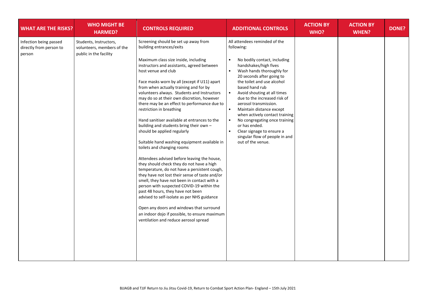| <b>WHAT ARE THE RISKS?</b>                                  | <b>WHO MIGHT BE</b><br><b>HARMED?</b>                                          | <b>CONTROLS REQUIRED</b>                                                                                                                                                                                                                                                                                                                                                                                                                                                                                                                                                                                                                                                                                                                                                                                                                                                                                                                                                                                                                                                                                                                                                     | <b>ADDITIONAL CONTROLS</b>                                                                                                                                                                                                                                                                                                                                                                                                                                                                                                                                                               | <b>ACTION BY</b><br>WHO? | <b>ACTION BY</b><br><b>WHEN?</b> | <b>DONE?</b> |
|-------------------------------------------------------------|--------------------------------------------------------------------------------|------------------------------------------------------------------------------------------------------------------------------------------------------------------------------------------------------------------------------------------------------------------------------------------------------------------------------------------------------------------------------------------------------------------------------------------------------------------------------------------------------------------------------------------------------------------------------------------------------------------------------------------------------------------------------------------------------------------------------------------------------------------------------------------------------------------------------------------------------------------------------------------------------------------------------------------------------------------------------------------------------------------------------------------------------------------------------------------------------------------------------------------------------------------------------|------------------------------------------------------------------------------------------------------------------------------------------------------------------------------------------------------------------------------------------------------------------------------------------------------------------------------------------------------------------------------------------------------------------------------------------------------------------------------------------------------------------------------------------------------------------------------------------|--------------------------|----------------------------------|--------------|
| Infection being passed<br>directly from person to<br>person | Students, Instructors,<br>volunteers, members of the<br>public in the facility | Screening should be set up away from<br>building entrances/exits<br>Maximum class size inside, including<br>instructors and assistants, agreed between<br>host venue and club<br>Face masks worn by all (except if U11) apart<br>from when actually training and for by<br>volunteers always. Students and Instructors<br>may do so at their own discretion, however<br>there may be an effect to performance due to<br>restriction in breathing<br>Hand sanitiser available at entrances to the<br>building and students bring their own -<br>should be applied regularly<br>Suitable hand washing equipment available in<br>toilets and changing rooms<br>Attendees advised before leaving the house,<br>they should check they do not have a high<br>temperature, do not have a persistent cough,<br>they have not lost their sense of taste and/or<br>smell, they have not been in contact with a<br>person with suspected COVID-19 within the<br>past 48 hours, they have not been<br>advised to self-isolate as per NHS guidance<br>Open any doors and windows that surround<br>an indoor dojo if possible, to ensure maximum<br>ventilation and reduce aerosol spread | All attendees reminded of the<br>following:<br>No bodily contact, including<br>$\bullet$<br>handshakes/high fives<br>Wash hands thoroughly for<br>$\bullet$<br>20 seconds after going to<br>the toilet and use alcohol<br>based hand rub<br>$\bullet$<br>Avoid shouting at all times<br>due to the increased risk of<br>aerosol transmission.<br>$\bullet$<br>Maintain distance except<br>when actively contact training<br>$\bullet$<br>No congregating once training<br>or has ended.<br>Clear signage to ensure a<br>$\bullet$<br>singular flow of people in and<br>out of the venue. |                          |                                  |              |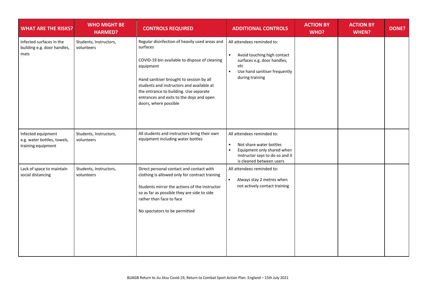| <b>WHAT ARE THE RISKS?</b>                                              | <b>WHO MIGHT BE</b><br><b>HARMED?</b> | <b>CONTROLS REQUIRED</b>                                                                                                                                                                                                                                                                                                         | <b>ADDITIONAL CONTROLS</b>                                                                                                                                                    | <b>ACTION BY</b><br>WHO? | <b>ACTION BY</b><br><b>WHEN?</b> | <b>DONE?</b> |
|-------------------------------------------------------------------------|---------------------------------------|----------------------------------------------------------------------------------------------------------------------------------------------------------------------------------------------------------------------------------------------------------------------------------------------------------------------------------|-------------------------------------------------------------------------------------------------------------------------------------------------------------------------------|--------------------------|----------------------------------|--------------|
| Infected surfaces in the<br>building e.g. door handles,<br>mats         | Students, Instructors,<br>volunteers  | Regular disinfection of heavily used areas and<br>surfaces<br>COVID-19 bin available to dispose of cleaning<br>equipment<br>Hand sanitiser brought to session by all<br>students and instructors and available at<br>the entrance to building. Use separate<br>entrances and exits to the dojo and open<br>doors, where possible | All attendees reminded to:<br>Avoid touching high contact<br>$\bullet$<br>surfaces e.g. door handles,<br>etc<br>Use hand sanitiser frequently<br>$\bullet$<br>during training |                          |                                  |              |
| Infected equipment<br>e.g. water bottles, towels,<br>training equipment | Students, Instructors,<br>volunteers  | All students and instructors bring their own<br>equipment including water bottles                                                                                                                                                                                                                                                | All attendees reminded to:<br>Not share water bottles<br>$\bullet$<br>$\bullet$<br>Equipment only shared when<br>instructor says to do so and it<br>is cleaned between users  |                          |                                  |              |
| Lack of space to maintain<br>social distancing                          | Students, Instructors,<br>volunteers  | Direct personal contact and contact with<br>clothing is allowed only for contract training<br>Students mirror the actions of the instructor<br>so as far as possible they are side to side<br>rather than face to face<br>No spectators to be permitted                                                                          | All attendees reminded to:<br>$\bullet$<br>Always stay 2 metres when<br>not actively contact training                                                                         |                          |                                  |              |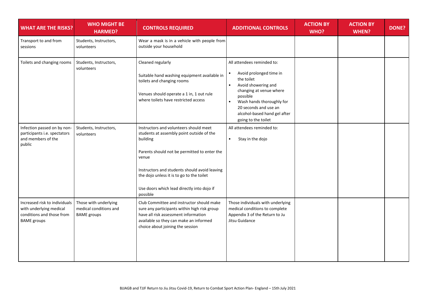| <b>WHAT ARE THE RISKS?</b>                                                                                  | <b>WHO MIGHT BE</b><br><b>HARMED?</b>                                 | <b>CONTROLS REQUIRED</b>                                                                                                                                                                                                                                                                                         | <b>ADDITIONAL CONTROLS</b>                                                                                                                                                                                                                                                            | <b>ACTION BY</b><br>WHO? | <b>ACTION BY</b><br><b>WHEN?</b> | <b>DONE?</b> |
|-------------------------------------------------------------------------------------------------------------|-----------------------------------------------------------------------|------------------------------------------------------------------------------------------------------------------------------------------------------------------------------------------------------------------------------------------------------------------------------------------------------------------|---------------------------------------------------------------------------------------------------------------------------------------------------------------------------------------------------------------------------------------------------------------------------------------|--------------------------|----------------------------------|--------------|
| Transport to and from<br>sessions                                                                           | Students, Instructors,<br>volunteers                                  | Wear a mask is in a vehicle with people from<br>outside your household                                                                                                                                                                                                                                           |                                                                                                                                                                                                                                                                                       |                          |                                  |              |
| Toilets and changing rooms                                                                                  | Students, Instructors,<br>volunteers                                  | Cleaned regularly<br>Suitable hand washing equipment available in<br>toilets and changing rooms<br>Venues should operate a 1 in, 1 out rule<br>where toilets have restricted access                                                                                                                              | All attendees reminded to:<br>Avoid prolonged time in<br>$\bullet$<br>the toilet<br>Avoid showering and<br>$\bullet$<br>changing at venue where<br>possible<br>Wash hands thoroughly for<br>$\bullet$<br>20 seconds and use an<br>alcohol-based hand gel after<br>going to the toilet |                          |                                  |              |
| Infection passed on by non-<br>participants i.e. spectators<br>and members of the<br>public                 | Students, Instructors,<br>volunteers                                  | Instructors and volunteers should meet<br>students at assembly point outside of the<br>building<br>Parents should not be permitted to enter the<br>venue<br>Instructors and students should avoid leaving<br>the dojo unless it is to go to the toilet<br>Use doors which lead directly into dojo if<br>possible | All attendees reminded to:<br>Stay in the dojo<br>$\bullet$                                                                                                                                                                                                                           |                          |                                  |              |
| Increased risk to individuals<br>with underlying medical<br>conditions and those from<br><b>BAME</b> groups | Those with underlying<br>medical conditions and<br><b>BAME</b> groups | Club Committee and instructor should make<br>sure any participants within high risk group<br>have all risk assessment information<br>available so they can make an informed<br>choice about joining the session                                                                                                  | Those individuals with underlying<br>medical conditions to complete<br>Appendix 3 of the Return to Ju<br>Jitsu Guidance                                                                                                                                                               |                          |                                  |              |